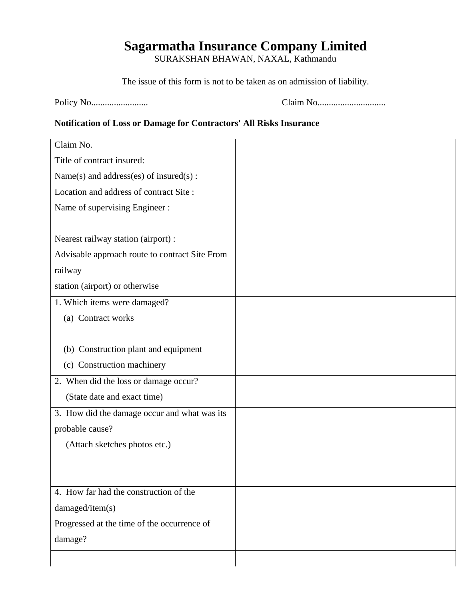## **Sagarmatha Insurance Company Limited**

SURAKSHAN BHAWAN, NAXAL, Kathmandu

The issue of this form is not to be taken as on admission of liability.

Policy No......................... Claim No..............................

## **Notification of Loss or Damage for Contractors' All Risks Insurance**

| Claim No.                                      |  |
|------------------------------------------------|--|
| Title of contract insured:                     |  |
| Name(s) and address(es) of insured(s):         |  |
| Location and address of contract Site:         |  |
| Name of supervising Engineer:                  |  |
|                                                |  |
| Nearest railway station (airport):             |  |
| Advisable approach route to contract Site From |  |
| railway                                        |  |
| station (airport) or otherwise                 |  |
| 1. Which items were damaged?                   |  |
| (a) Contract works                             |  |
|                                                |  |
| (b) Construction plant and equipment           |  |
| (c) Construction machinery                     |  |
| 2. When did the loss or damage occur?          |  |
| (State date and exact time)                    |  |
| 3. How did the damage occur and what was its   |  |
| probable cause?                                |  |
| (Attach sketches photos etc.)                  |  |
|                                                |  |
|                                                |  |
| 4. How far had the construction of the         |  |
| damaged/item(s)                                |  |
| Progressed at the time of the occurrence of    |  |
| damage?                                        |  |
|                                                |  |